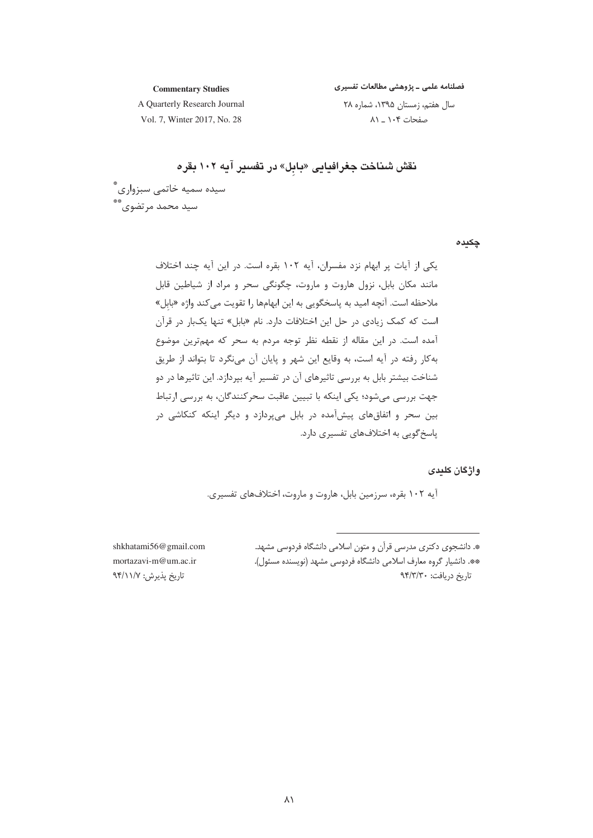فصلنامه علمی ـ پژوهشی مطالعات تفسیری

**Commentary Studies** A Quarterly Research Journal

سال هفتم، زمستان ۱۳۹۵، شماره ۲۸ صفحات ۱۰۴ ـ ۸۱

Vol. 7, Winter 2017, No. 28

نقش شناخت جغرافیایی «بابل» در تفسیر آیه ۱۰۲ بقره سیده سمیه خاتمی سبزواری ٌ \*\*<br>سید محمد مرتضوی

چکیدہ

یکی از آیات پر ابهام نزد مفسران، آیه ۱۰۲ بقره است. در این آیه چند اختلاف مانند مکان بابل، نزول هاروت و ماروت، چگونگی سحر و مراد از شیاطین قابل ملاحظه است. آنچه امید به پاسخگویی به این ابهامها را تقویت می کند واژه «بابل» است که کمک زیادی در حل این اختلافات دارد. نام «بابل» تنها یکبار در قرآن آمده است. در این مقاله از نقطه نظر توجه مردم به سحر که مهمترین موضوع به کار رفته در آیه است، به وقایع این شهر و پایان آن مینگرد تا بتواند از طریق شناخت بیشتر بابل به بررسی تاثیرهای آن در تفسیر آیه بپردازد. این تاثیرها در دو جهت بررسی میشود؛ یکی اینکه با تبیین عاقبت سحرکنندگان، به بررسی ارتباط بین سحر و اتفاق های پیشآمده در بابل میپردازد و دیگر اینکه کنکاشی در پاسخ گويي به اختلافهاي تفسيري دارد.

واژگان کلیدی

آیه ۱۰۲ بقره، سرزمین بابل، هاروت و ماروت، اختلافهای تفسیری.

\*. دانشجوی دکتری مدرسی قرآن و متون اسلامی دانشگاه فردوسی مشهد. \*\*. دانشیار گروه معارف اسلامی دانشگاه فردوسی مشهد (نویسنده مسئول). تاریخ دریافت: ۹۴/۳/۳۰

shkhatami56@gmail.com mortazavi-m@um.ac.ir تاريخ پذيرش: ٩۴/١١/٧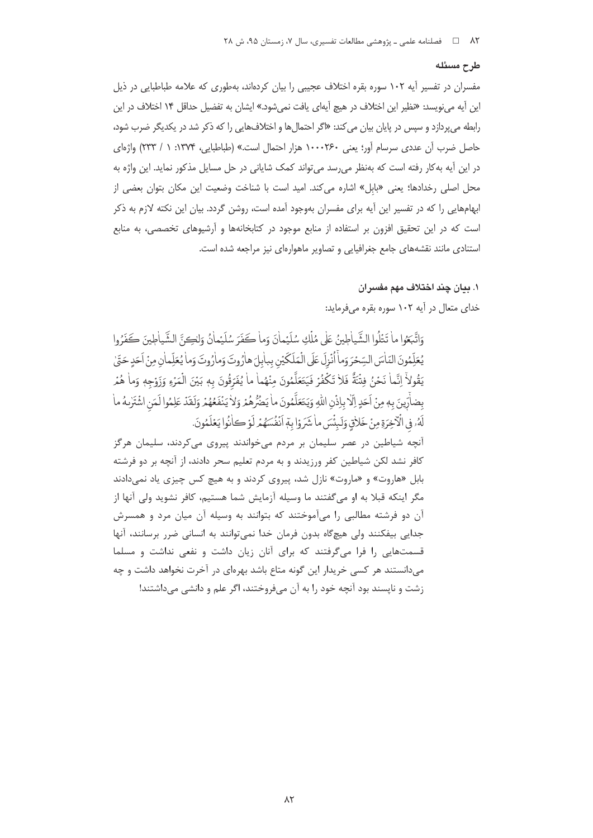# طرح مسئله

مفسران در تفسیر آیه ۱۰۲ سوره بقره اختلاف عجیبی را بیان کردهاند، بهطوری که علامه طباطبایی در ذیل این آیه مینویسد: «نظیر این اختلاف در هیچ آیهای یافت نمیشود.» ایشان به تفضیل حداقل ۱۴ اختلاف در این رابطه می پردازد و سپس در پایان بیان می کند: «اگر احتمال ها و اختلافهایی را که ذکر شد در یکدیگر ضرب شود، حاصل ضرب آن عددي سرسام آور؛ يعني ١٠٠٠٢۶٠ هزار احتمال است.» (طباطبايي، ١٣٧۴: ١ / ٢٣٣) واژهاي در این آیه به کار رفته است که بهنظر می رسد می تواند کمک شایانی در حل مسایل مذکور نماید. این واژه به محل اصلی رخدادها؛ یعنی «بابل» اشاره میکند. امید است با شناخت وضعیت این مکان بتوان بعضی از ابهامهایی را که در تفسیر این آیه برای مفسران بهوجود آمده است، روشن گردد. بیان این نکته لازم به ذکر است که در این تحقیق افزون بر استفاده از منابع موجود در کتابخانهها و آرشیوهای تخصصی، به منابع استنادی مانند نقشههای جامع جغرافیایی و تصاویر ماهوارهای نیز مراجعه شده است.

# ۱. بیان چند اختلاف مهم مفسران

خدای متعال در آیه ۱۰۲ سوره بقره می فرماید:

وَاتَّبِعُوا ما تَتْلُوا الشَّياطِينُ عَلَى مُلْكٍ سُلَيْمانَ وَما كَفَرَ سُلَيْمانُ وَلِحِيَّ الشَّياطِينَ كَفَرُوا يُعَلِّمُونَ النّاسَ السِّحْرَوَماً أُنْزِلَ عَلَى الْمَلَكَيْنِ بِباٰبِلَ هارُوتَ وَمارُوتَ وَما يُعَلِّمانِ مِنْ اَحَدٍ حَتّىٰ يَقُولاً إِنَّماٰ نَحْنُ فِتْنَةٌ فَلاٰ تَكْفُرُ فَيَتَعَلَّمُونَ مِنْهُماْ ماٰ يُفَرِّقُونَ بِهٖ بَيْنَ الْمَرْءِ وَزَوْجِهٖ وَماٰ هُمْر بِصَاْرِينَ بِهِ مِنْ اَحَدٍ اِلَّا بِاذْنِ اللَّهِ وَيَتَعَلَّمُونَ ماٰ يَضُرُّهُمْ وَلَا يَنْفَعُهُمْ وَلَقَدْ عَلِمُوا لَمَن اشْتَرْمُه ما لَهُ. في الْأَخِرَةِ مِنْ خَلاٰقٍ وَلَبِئْسَ ما شَرَوْا بِمَ انْفُسَهُمْ لَوْكانُوا يَعْلَمُونَ. آنچه شیاطین در عصر سلیمان بر مردم میخواندند پیروی می کردند، سلیمان هرگز کافر نشد لکن شیاطین کفر ورزیدند و به مردم تعلیم سحر دادند، از آنچه بر دو فرشته بابل «هاروت» و «ماروت» نازل شد، پیروی کردند و به هیچ کس چیزی یاد نمیدادند مگر اینکه قبلا به او میگفتند ما وسیله آزمایش شما هستیم، کافر نشوید ولی آنها از آن دو فرشته مطالبی را میآموختند که بتوانند به وسیله آن میان مرد و همسرش جدایی بیفکنند ولی هیچگاه بدون فرمان خدا نمیتوانند به انسانی ضرر برسانند، آنها قسمتهایی را فرا میگرفتند که برای آنان زیان داشت و نفعی نداشت و مسلما میدانستند هر کسی خریدار این گونه متاع باشد بهرهای در آخرت نخواهد داشت و چه زشت و نایسند بود آنچه خود را به آن میفروختند، اگر علم و دانشی میداشتند!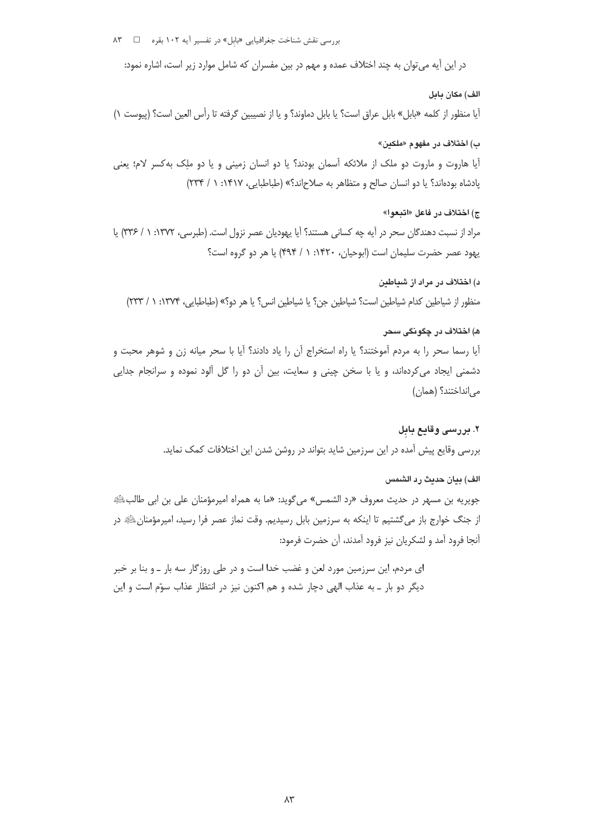بررسی نقش شناخت جغرافیایی «بابل» در تفسیر آیه ۱۰۲ بقره □ ۸۳

در این آیه میتوان به چند اختلاف عمده و مهم در بین مفسران که شامل موارد زیر است، اشاره نمود:

#### الف) مكان مامل

آيا منظور از كلمه «بابل» بابل عراق است؟ يا بابل دماوند؟ و يا از نصيبين گرفته تا رأس العين است؟ (پيوست ١)

# ب) اختلاف در مفهوم «ملكين»

آیا هاروت و ماروت دو ملک از ملائکه آسمان بودند؟ یا دو انسان زمینی و یا دو ملِک بهکسر لام؛ یعنی پادشاه بودهاند؟ یا دو انسان صالح و متظاهر به صلاحاند؟» (طباطبایی، ۱۴۱۷: ۱ / ۲۳۴)

# ج) اختلاف در فاعل «اتبعوا»

مراد از نسبت دهندگان سحر در آیه چه کسانی هستند؟ آیا یهودیان عصر نزول است. (طبرسی، ۱۳۷۲: ۱ / ۳۳۶) یا یهود عصر حضرت سلیمان است (ابوحیان، ۱۴۲۰: ۱ / ۴۹۴) یا هر دو گروه است؟

#### د) اختلاف در مراد از شیاطین

منظور از شیاطین کدام شیاطین است؟ شیاطین جن؟ یا شیاطین انس؟ یا هر دو؟» (طباطبایی، ۱۳۷۴: ۱ / ۲۳۳)

# ه) اختلاف در چگونگی سحر

آيا رسما سحر را به مردم آموختند؟ يا راه استخراج آن را ياد دادند؟ آيا با سحر ميانه زن و شوهر محبت و دشمنی ایجاد می کردهاند، و یا با سخن چینی و سعایت، بین آن دو را گل آلود نموده و سرانجام جدایی می انداختند؟ (همان)

# ۲. بررسی وقایع بابل

بررسی وقایع پیش آمده در این سرزمین شاید بتواند در روشن شدن این اختلافات کمک نماید.

#### الف) بيان حديث رد الشمس

جويريه بن مسهر در حديث معروف «رد الشمس» مي¢ويد: «ما به همراه اميرمؤمنان على بن ابي طالبﷺ از جنگ خوارج باز میگشتیم تا اینکه به سرزمین بابل رسیدیم. وقت نماز عصر فرا رسید، امیرمؤمنانﷺ در آنجا فرود آمد و لشكريان نيز فرود آمدند، آن حضرت فرمود:

ای مردم، این سرزمین مورد لعن و غضب خدا است و در طی روزگار سه بار ــ و بنا بر خبر دیگر دو بار ـ به عذاب الهی دچار شده و هم اکنون نیز در انتظار عذاب سوّم است و این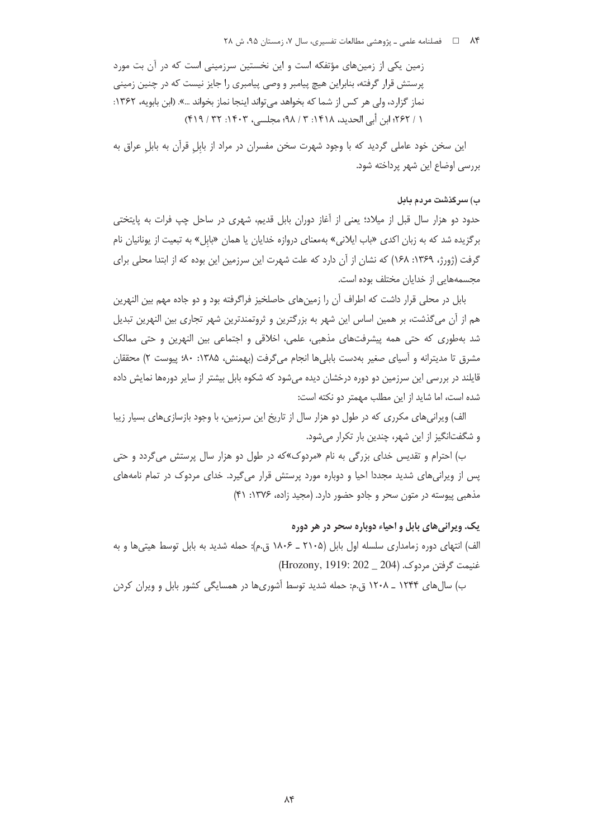زمین یکی از زمینهای مؤتفکه است و این نخستین سرزمینی است که در آن بت مورد پرستش قرار گرفته، بنابراین هیچ پیامبر و وصی پیامبری را جایز نیست که در چنین زمینی نماز گزارد، ولی هر کس از شما که بخواهد می تواند اینجا نماز بخواند ...». (ابن بابویه، ۱۳۶۲: ١ / ٢۶٢؛ ابن أبي الحديد، ١٤١٨: ٣ / ٩٨؛ مجلسي، ٣٠٢٣: ٣٢ / ٤١٩)

این سخن خود عاملی گردید که با وجود شهرت سخن مفسران در مراد از بابل قرآن به بابل عراق به بررسی اوضاع این شهر پرداخته شود.

# ب) سرگذشت مردم بابل

حدود دو هزار سال قبل از میلاد؛ یعنی از آغاز دوران بابل قدیم، شهری در ساحل چپ فرات به پایتختی برگزیده شد که به زبان اکدی «باب ایلانی» بهمعنای دروازه خدایان یا همان «بابل» به تبعیت از یونانیان نام گرفت (ژورژ، ۱۳۶۹: ۱۶۸) که نشان از آن دارد که علت شهرت این سرزمین این بوده که از ابتدا محلی برای مجسمههایی از خدایان مختلف بوده است.

بابل در محلی قرار داشت که اطراف آن را زمین های حاصلخیز فراگرفته بود و دو جاده مهم بین النهرین هم از آن میگذشت، بر همین اساس این شهر به بزرگترین و ثروتمندترین شهر تجاری بین النهرین تبدیل شد بهطوری که حتی همه پیشرفتهای مذهبی، علمی، اخلاقی و اجتماعی بین النهرین و حتی ممالک مشرق تا مدیترانه و آسیای صغیر بهدست بابلی ها انجام می گرفت (بهمنش، ۱۳۸۵: ۸۰؛ پیوست ۲) محققان قابلند در بررسی این سرزمین دو دوره درخشان دیده می شود که شکوه بابل بیشتر از سایر دورهها نمایش داده شده است، اما شاید از این مطلب مهمتر دو نکته است:

الف) ویرانیهای مکرری که در طول دو هزار سال از تاریخ این سرزمین، با وجود بازسازیهای بسیار زیبا و شگفتانگیز از این شهر، چندین بار تکرار میشود.

ب) احترام و تقدیس خدای بزرگی به نام «مردوک»که در طول دو هزار سال پرستش میگردد و حتی پس از ویرانیهای شدید مجددا احیا و دوباره مورد پرستش قرار می گیرد. خدای مردوک در تمام نامههای مذهبی پیوسته در متون سحر و جادو حضور دارد. (مجید زاده، ۱۳۷۶: ۴۱)

# یک. ویرانیهای بابل و احیاء دوباره سحر در هر دوره

الف) انتهای دوره زمامداری سلسله اول بابل (۲۱۰۵ ـ ۱۸۰۶ ق.م): حمله شدید به بابل توسط هیتی ها و به غنيمت گرفتن مردوك. (Hrozony, 1919: 202 \_ 204)

ب) سال های ۱۲۴۴ \_ ۱۲۰۸ ق.م: حمله شدید توسط آشوری ها در همسایگی کشور بابل و ویران کردن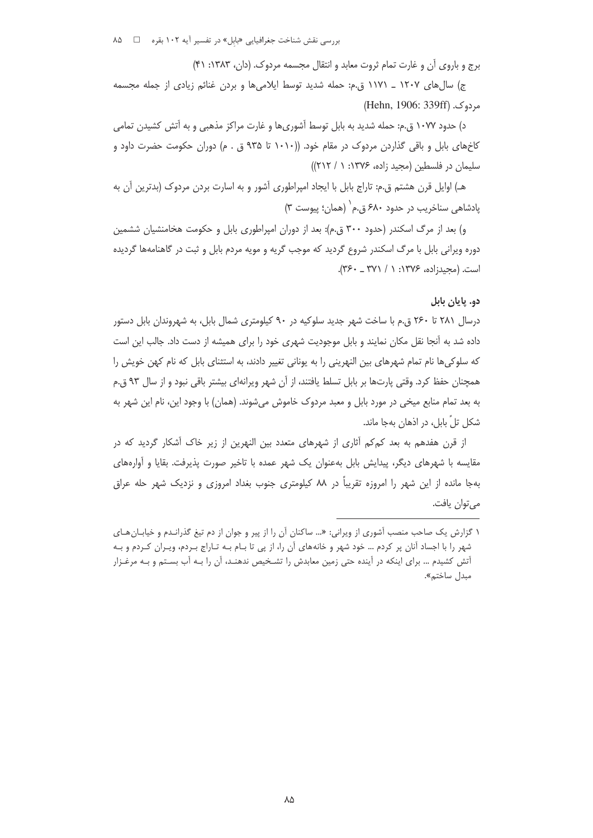بررسی نقش شناخت جغرافیایی «بابل» در تفسیر آیه ۱۰۲ بقره □ ۵۸

برج و باروی آن و غارت تمام ثروت معابد و انتقال مجسمه مردوک. (دان، ۱۳۸۳: ۴۱)

ج) سالهای ۱۲۰۷ \_ ۱۱۷۱ ق.م: حمله شدید توسط ایلامیها و بردن غنائم زیادی از جمله مجسمه مددوک. (Hehn, 1906: 339ff)

د) حدود ۱۰۷۷ ق.م: حمله شدید به بابل توسط آشوریها و غارت مراکز مذهبی و به آتش کشیدن تمامی کاخهای بابل و باقی گذاردن مردوک در مقام خود. ((۱۰۱۰ تا ۹۳۵ ق . م) دوران حکومت حضرت داود و سلیمان در فلسطین (مجید زاده، ۱۳۷۶: ۱ / ۲۱۲))

هـ) اوایل قرن هشتم ق.م: تاراج بابل با ایجاد امپراطوری آشور و به اسارت بردن مردوک (بدترین آن به پادشاهی سناخریب در حدود ۶۸۰ ق.م` (همان؛ پیوست ۳)

و) بعد از مرگ اسکندر (حدود ۳۰۰ ق.م): بعد از دوران امپراطوری بابل و حکومت هخامنشیان ششمین دوره ویرانی بابل با مرگ اسکندر شروع گردید که موجب گریه و مویه مردم بابل و ثبت در گاهنامهها گردیده است. (مجيدزاده، ۱۳۷۶: ۱ / ۳۷۱\_ ۳۶۰).

# دو. پايان بابل

درسال ۲۸۱ تا ۲۶۰ ق.م با ساخت شهر جدید سلوکیه در ۹۰ کیلومتری شمال بابل، به شهروندان بابل دستور داده شد به آنجا نقل مکان نمایند و بابل موجودیت شهری خود را برای همیشه از دست داد. جالب این است که سلوکیها نام تمام شهرهای بین النهرینی را به یونانی تغییر دادند، به استثنای بابل که نام کهن خویش را همچنان حفظ کرد. وقتی پارتها بر بابل تسلط یافتند، از آن شهر ویرانهای بیشتر باقی نبود و از سال ۹۳ ق.م به بعد تمام منابع میخی در مورد بابل و معبد مردوک خاموش میشوند. (همان) با وجود این، نام این شهر به شکل تلِّ بابلِ، در اذهان بهجا ماند.

از قرن هفدهم به بعد کمکم آثاری از شهرهای متعدد بین النهرین از زیر خاک آشکار گردید که در مقایسه با شهرهای دیگر، پیدایش بابل بهعنوان یک شهر عمده با تاخیر صورت پذیرفت. بقایا و آوارههای بهجا مانده از این شهر را امروزه تقریباً در ۸۸ کیلومتری جنوب بغداد امروزی و نزدیک شهر حله عراق مي توان يافت.

۱ گزارش یک صاحب منصب آشوری از ویرانی: «... ساکنان آن را از پیر و جوان از دم تیغ گذرانـدم و خیابـان *ه*ـای شهر را با اجساد آنان پر کردم … خود شهر و خانههای آن را، از پی تا بـام بـه تـاراج بـردم، ویـران کـردم و بـه آتش کشیدم … برای اینکه در آینده حتی زمین معابدش را تشـخیص ندهنـد، آن را بـه آب بسـتم و بـه مرغـزار مبدل ساختم».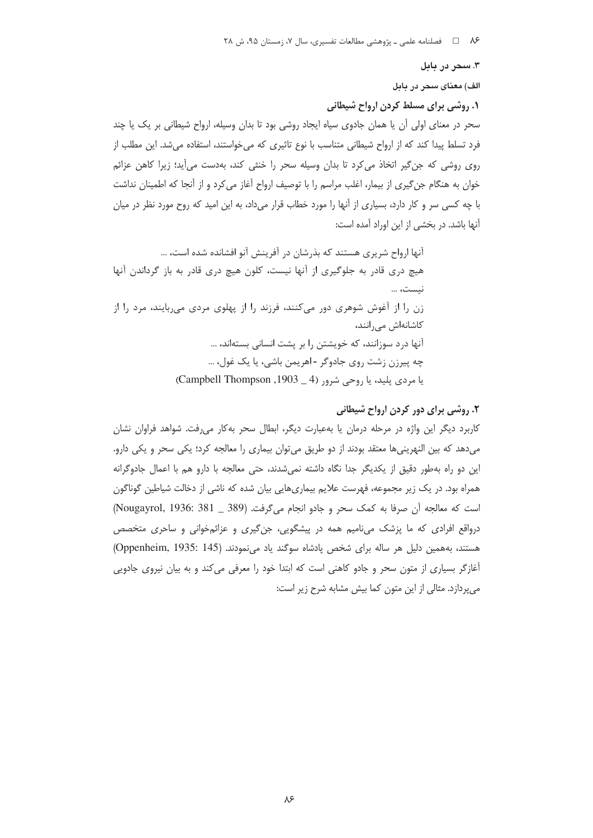۳. سحر در بابل

الف) معنای سحر در بابل

**۱. روشی برای مسلط کردن ارواح شیطانی** 

سحر در معنای اولی آن یا همان جادوی سیاه ایجاد روشی بود تا بدان وسیله، ارواح شیطانی بر یک یا چند فرد تسلط پیدا کند که از ارواح شیطانی متناسب با نوع تاثیری که میخواستند، استفاده میشد. این مطلب از روی روشی که جن گیر اتخاذ می کرد تا بدان وسیله سحر را خنثی کند، بهدست میآید؛ زیرا کاهن عزائم خوان به هنگام جن گیری از بیمار، اغلب مراسم را با توصیف ارواح آغاز می کرد و از آنجا که اطمینان نداشت با چه کسی سر و کار دارد، بسیاری از آنها را مورد خطاب قرار میداد، به این امید که روح مورد نظر در میان آنها باشد. در بخشی از این اوراد آمده است:

آنها ارواح شریری هستند که بذرشان در آفرینش آنو افشانده شده است، ... هیچ دری قادر به جلوگیری از آنها نیست، کلون هیچ دری قادر به باز گرداندن آنها نيست، ... زن را از آغوش شوهری دور میکنند، فرزند را از پهلوی مردی می بایند، مرد را از كاشانەاش مى<sub>،د</sub>انند، آنها درد سوزانند، که خویشتن را بر یشت انسانی بستهاند، ... چه پیرزن زشت روی جادوگر -اهریمن باشی، یا یک غول، … یا مردی پلید، یا روحی شرور (Campbell Thompson ,1903 \_ 4)

# ۲. روشی برای دور کردن ارواح شیطانی

کاربرد دیگر این واژه در مرحله درمان یا بهعبارت دیگر، ابطال سحر بهکار میرفت. شواهد فراوان نشان میدهد که بین النهرینیها معتقد بودند از دو طریق می¤وان بیماری را معالجه کرد؛ یکی سحر و یکی دارو. این دو راه بهطور دقیق از یکدیگر جدا نگاه داشته نمیشدند، حتی معالجه با دارو هم با اعمال جادوگرانه همراه بود. در یک زیر مجموعه، فهرست علایم بیماریهایی بیان شده که ناشی از دخالت شیاطین گوناگون است كه معالجه أن صرفا به كمك سحر و جادو انجام مى گرفت. (389 \_ Nougayrol, 1936: 381) درواقع افرادی که ما پزشک مینامیم همه در پیشگویی، جنگیری و عزائمخوانی و ساحری متخصص هستند، بههمین دلیل هر ساله برای شخص پادشاه سوگند یاد مینمودند. (Oppenheim, 1935: 145) آغازگر بسیاری از متون سحر و جادو کاهنی است که ابتدا خود را معرفی میکند و به بیان نیروی جادویی می پردازد. مثالی از این متون کما بیش مشابه شرح زیر است: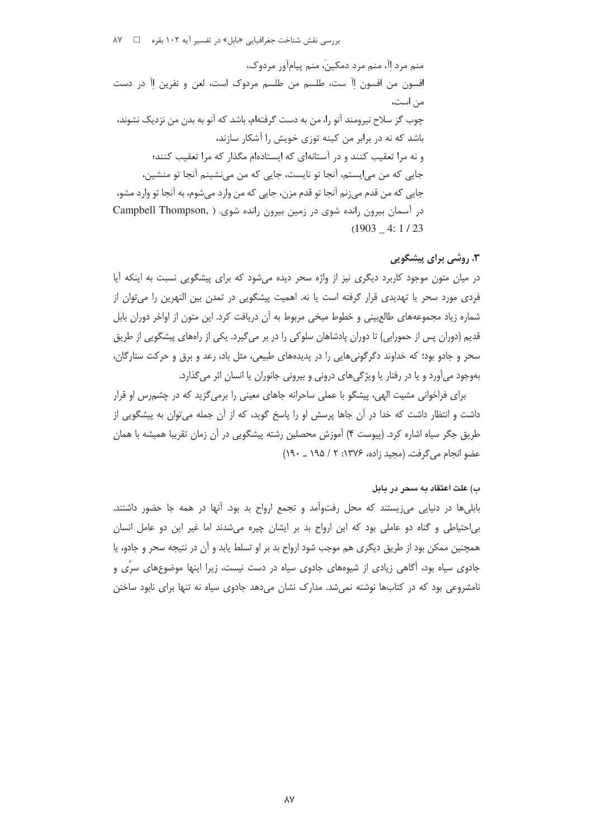بررسی نقش شناخت جغرافیایی «بابل» در تفسیر آیه ۱۰۲ بقره □ ۸۷

منم مرد اآ، منم مرد دمكينَ، منم پيامآور مردوک، افسون من افسون إاّ ست، طلسم من طلسم مردوک است، لعن و نفرين إاّ در دست من است، چوب گز سلاح نیرومند آنو را، من به دست گرفتهام، باشد که آنو به بدن من نزدیک نشوند، باشد که نه در برابر من کینه توزی خویش را آشکار سازند، و نه مرا تعقیب کنند و در آستانهای که ایستادهام مگذار که مرا تعقیب کنند؛ جايي كه من مي|پستم، آنجا تو نايست، جايي كه من مي نشينم آنجا تو منشين، جايي كه من قدم مي;نم آنجا تو قدم مزن، جايي كه من وارد مي شوم، به آنجا تو وارد مشو، در آسمان بیرون رانده شوی در زمین بیرون رانده شوی. ( Campbell Thompson,  $(1903 \quad 4: 1/23)$ 

# ۰.۳ روشي براي پيشگويي

در میان متون موجود کاربرد دیگری نیز از واژه سحر دیده میشود که برای پیشگویی نسبت به اینکه آیا فردی مورد سحر یا تهدیدی قرار گرفته است یا نه. اهمیت پیشگویی در تمدن بین النهرین را می¤وان از شماره زیاد مجموعههای طالع بینی و خطوط میخی مربوط به آن دریافت کرد. این متون از اواخر دوران بابل قدیم (دوران پس از حمورابی) تا دوران پادشاهان سلوکی را در بر می گیرد. یکی از راههای پیشگویی از طریق سحر و جادو بود؛ که خداوند دگرگونی هایی را در پدیدههای طبیعی، مثل باد، رعد و برق و حرکت ستارگان، بهوجود میآورد و یا در رفتار یا ویژگیهای درونی و بیرونی جانوران یا انسان اثر میگذارد.

برای فراخوانی مشیت الهی، پیشگو با عملی ساحرانه جاهای معینی را برمی گزید که در چشمرس او قرار داشت و انتظار داشت که خدا در آن جاها پرسش او را پاسخ گوید، که از آن جمله می توان به پیشگویی از طریق جگر سیاه اشاره کرد. (پیوست ۴) آموزش محصلین رشته پیشگویی در آن زمان تقریبا همیشه با همان عضو انحام مي گرفت. (محيد زاده، ۱۳۷۶: ۲ / ۱۹۵ \_ ۱۹۰)

#### ب) علت اعتقاد به سجر در بابل

بابلیها در دنیایی میزیستند که محل رفتوآمد و تجمع ارواح بد بود. آنها در همه جا حضور داشتند. بی|حتیاطی و گناه دو عاملی بود که این ارواح بد بر ایشان چیره میشدند اما غیر این دو عامل انسان همچنین ممکن بود از طریق دیگری هم موجب شود ارواح بد بر او تسلط یابد و آن در نتیجه سحر و جادو، یا جادوی سیاه بود، آگاهی زیادی از شیوههای جادوی سیاه در دست نیست، زیرا اینها موضوعهای سرّی و نامشروعی بود که در کتابها نوشته نمی شد. مدارک نشان می دهد جادوی سیاه نه تنها برای نابود ساختن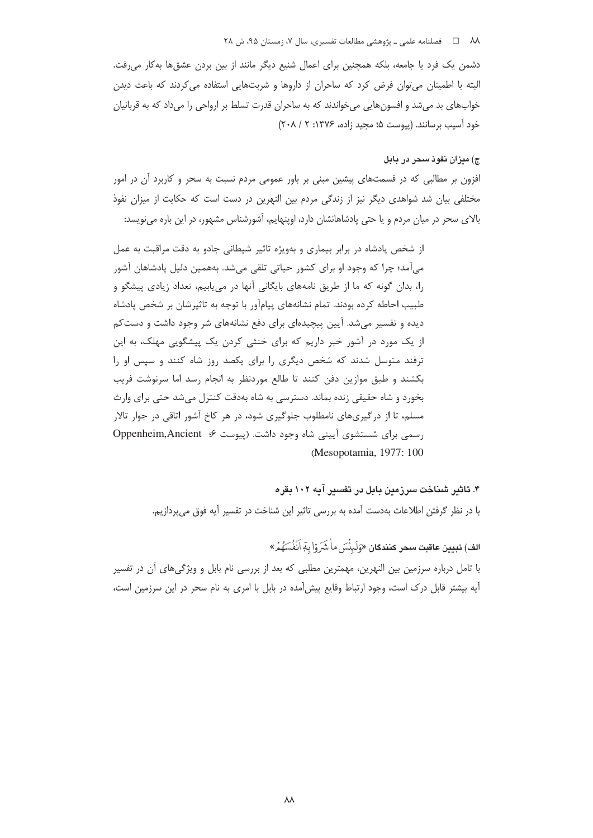دشمن یک فرد یا جامعه، بلکه همچنین برای اعمال شنیع دیگر مانند از بین بردن عشقها بهکار می رفت. البته با اطمینان می توان فرض کرد که ساحران از داروها و شربتهایی استفاده می کردند که باعث دیدن خوابهای بد میشد و افسونهایی میخواندند که به ساحران قدرت تسلط بر ارواحی را میداد که به قربانیان خود آسيب برسانند. (پيوست ۵؛ مجيد زاده، ۱۳۷۶: ۲ / ۲۰۸)

# ج) ميزان نفوذ سحر در بابل

افزون بر مطالبی که در قسمتهای پیشین مبنی بر باور عمومی مردم نسبت به سحر و کاربرد آن در امور مختلفی بیان شد شواهدی دیگر نیز از زندگی مردم بین النهرین در دست است که حکایت از میزان نفوذ بالای سحر در میان مردم و یا حتی یادشاهانشان دارد، اوینهایم، آشورشناس مشهور، در این باره می نویسد:

از شخص پادشاه در برابر بیماری و بهویژه تاثیر شیطانی جادو به دقت مراقبت به عمل مي آمد؛ چرا که وجود او براي کشور حياتي تلقي مي شد. بههمين دليل پادشاهان آشور را، بدان گونه که ما از طریق نامههای بایگانی آنها در می پابیم، تعداد زیادی پیشگو و طبیب احاطه کرده بودند. تمام نشانههای پیامآور با توجه به تاثیرشان بر شخص پادشاه دیده و تفسیر می شد. آیین پیچیدهای برای دفع نشانههای شر وجود داشت و دست کم از یک مورد در آشور خبر داریم که برای خنثی کردن یک پیشگویی مهلک، به این ترفند متوسل شدند که شخص دیگری را برای یکصد روز شاه کنند و سیس او را بکشند و طبق موازین دفن کنند تا طالع موردنظر به انجام رسد اما سرنوشت فریب بخورد و شاه حقیقی زنده بماند. دسترسی به شاه بهدقت کنترل می شد حتی برای وارث مسلم، تا از درگیریهای نامطلوب جلوگیری شود، در هر کاخ آشور اتاقی در جوار تالار رسمی برای شستشوی آیینی شاه وجود داشت. (پیوست ۶: Oppenheim,Ancient (Mesopotamia, 1977: 100

> ۴. تاثیر شناخت سرزمین بابل در تفسیر آیه ۱۰۲ بقره با در نظر گرفتن اطلاعات بهدست آمده به بررسی تاثیر این شناخت در تفسیر آیه فوق می پردازیم.

الف) تبيين عاقبت سجر كنندگان «وَلَبِثُسَ ماٰ شَرَ وْا بِهِ أَنْفُسَهُمْ.» با تامل درباره سرزمین بین النهرین، مهمترین مطلبی که بعد از بررسی نام بابل و ویژگیهای آن در تفسیر آیه بیشتر قابل درک است، وجود ارتباط وقایع پیش آمده در بابل با امری به نام سحر در این سرزمین است،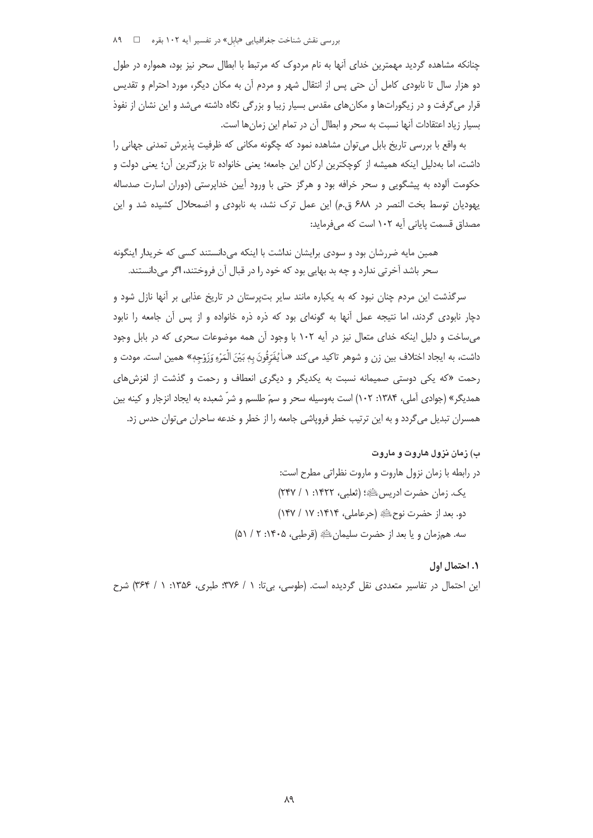چنانکه مشاهده گردید مهمترین خدای آنها به نام مردوک که مرتبط با ابطال سحر نیز بود، همواره در طول دو هزار سال تا نابودی کامل آن حتی پس از انتقال شهر و مردم آن به مکان دیگر، مورد احترام و تقدیس قرار میگرفت و در زیگوراتها و مکانهای مقدس بسیار زیبا و بزرگی نگاه داشته میشد و این نشان از نفوذ بسيار زياد اعتقادات آنها نسبت به سحر و ابطال آن در تمام اين زمانها است.

به واقع با بررسی تاریخ بابل میتوان مشاهده نمود که چگونه مکانی که ظرفیت پذیرش تمدنی جهانی را داشت، اما بهدلیل اینکه همیشه از کوچکترین ارکان این جامعه؛ یعنی خانواده تا بزرگترین آن؛ یعنی دولت و حکومت آلوده به پیشگویی و سحر خرافه بود و هرگز حتی با ورود آیین خداپرستی (دوران اسارت صدساله یهودیان توسط بخت النصر در ۶۸۸ ق.م) این عمل ترک نشد، به نابودی و اضمحلال کشیده شد و این مصداق قسمت پایانی آیه ۱۰۲ است که میفرماید:

همین مایه ضررشان بود و سودی برایشان نداشت با اینکه میدانستند کسی که خریدار اینگونه سحر باشد آخرتی ندارد و چه بد بهایی بود که خود را در قبال آن فروختند، اگر میدانستند.

سرگذشت این مردم چنان نبود که به یکباره مانند سایر بتپرستان در تاریخ عذابی بر آنها نازل شود و دچار نابودی گردند، اما نتیجه عمل آنها به گونهای بود که ذره ذره خانواده و از پس آن جامعه را نابود می ساخت و دلیل اینکه خدای متعال نیز در آیه ۱۰۲ با وجود آن همه موضوعات سحری که در بابل وجود داشت، به ايجاد اختلاف بين زن و شوهر تاكيد مي كند «ماْ يُفَرِّقُونَ بهٖ بَيْنَ الْمَرْءِ وَزَوْجهِ» همين است. مودت و رحمت «که یکی دوستی صمیمانه نسبت به یکدیگر و دیگری انعطاف و رحمت و گذشت از لغزش های همديگر» (جوادي آملي، ۱۳۸۴: ۱۰۲) است بهوسيله سحر و سمّ طلسم و شرّ شعيده به ايجاد انزجار و كينه بين همسران تبدیل میگردد و به این ترتیب خطر فروپاشی جامعه را از خطر و خدعه ساحران می توان حدس زد.

# ب) زمان نزول هاروت و ماروت در رابطه با زمان نزول هاروت و ماروت نظراتی مطرح است: يک. زمان حضرت ادريس عليه: (تعلبي، ١٤٢٢: ١ / ٢۴٧) دو. بعد از حضرت نوح ﷺ (حرعاملي، ١٤١٤: ١٧ / ١٤٧) سه. همزمان و یا بعد از حضرت سلیمان ﷺ (قرطبی، ۱۴۰۵: ۲ / ۵۱)

۱. احتمال اول

این احتمال در تفاسیر متعددی نقل گردیده است. (طوسی، بی تا: ۱ / ۳۷۶: طبری، ۱۳۵۶: ۱ / ۳۶۴) شرح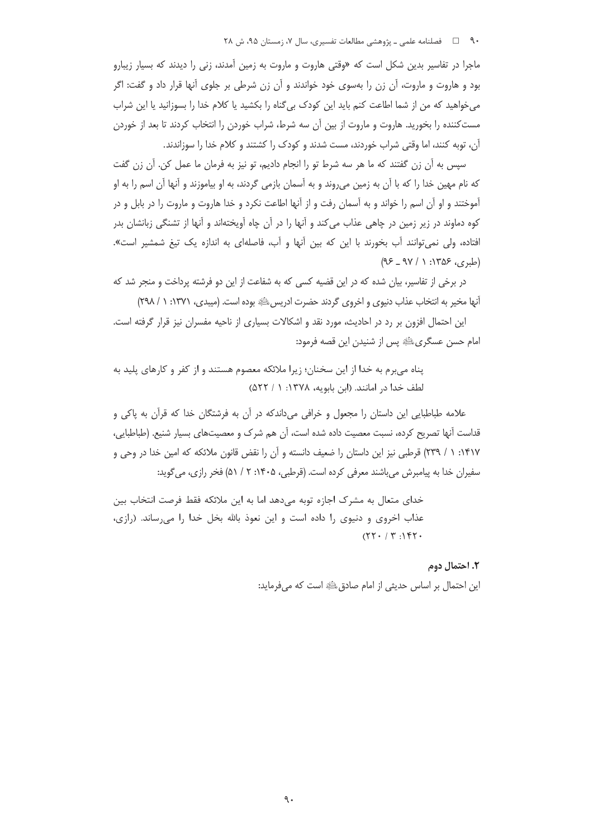ماجرا در تفاسیر بدین شکل است که «وقتی هاروت و ماروت به زمین آمدند، زنی را دیدند که بسیار زیبارو بود و هاروت و ماروت، آن زن را بهسوی خود خواندند و آن زن شرطی بر جلوی آنها قرار داد و گفت: اگر میخواهید که من از شما اطاعت کنم باید این کودک بی گناه را بکشید یا کلام خدا را بسوزانید یا این شراب مست کننده را بخورید. هاروت و ماروت از بین آن سه شرط، شراب خوردن را انتخاب کردند تا بعد از خوردن آن، توبه کنند، اما وقتی شراب خوردند، مست شدند و کودک را کشتند و کلام خدا را سوزاندند.

سپس به آن زن گفتند که ما هر سه شرط تو را انجام دادیم، تو نیز به فرمان ما عمل کن. آن زن گفت که نام مهین خدا را که با آن به زمین میروند و به آسمان بازمی گردند، به او بیاموزند و آنها آن اسم را به او آموختند و او آن اسم را خواند و به آسمان رفت و از آنها اطاعت نکرد و خدا هاروت و ماروت را در بابل و در کوه دماوند در زیر زمین در چاهی عذاب می کند و آنها را در آن چاه آویختهاند و آنها از تشنگی زبانشان بدر افتاده، ولی نمی توانند آب بخورند با این که بین آنها و آب، فاصلهای به اندازه یک تیغ شمشیر است».  $(95 - 911)$ : ۶۵۶ (طبری، ۱۳۵۶)

در برخی از تفاسیر، بیان شده که در این قضیه کسی که به شفاعت از این دو فرشته پرداخت و منجر شد که أنها مخير به انتخاب عذاب دنيوي و اخروي گردند حضرت ادريسﷺ بوده است. (ميبدي، ١٣٧١: ١ / ٢٩٨)

این احتمال افزون بر رد در احادیث، مورد نقد و اشکالات بسیاری از ناحیه مفسران نیز قرار گرفته است. امام حسن عسگريﷺ پس از شنيدن اين قصه فرمود:

یناه می برم به خدا از این سخنان؛ زیرا ملائکه معصوم هستند و از کفر و کارهای پلید به لطف خدا در امانند. (ابن بابويه، ١٣٧٨: ١ / ٥٢٢)

علامه طباطبایی این داستان را مجعول و خرافی می داندکه در آن به فرشتگان خدا که قرآن به پاکی و قداست آنها تصریح کرده، نسبت معصیت داده شده است، آن هم شرک و معصیتهای بسیار شنیع. (طباطبایی، ۱۴۱۷: ۱ / ۲۳۹) قرطبی نیز این داستان را ضعیف دانسته و آن را نقض قانون ملائکه که امین خدا در وحی و سفیران خدا به پیامبرش میباشند معرفی کرده است. (قرطبی، ۱۴۰۵: ۲ / ۵۱) فخر رازی، می گوید:

خدای متعال به مشرک اجازه توبه می۵هد اما به این ملائکه فقط فرصت انتخاب بین عذاب اخروی و دنیوی را داده است و این نعوذ بالله بخل خدا را می ساند. (رازی،  $(77.77.77)$ 

> ٢. احتمال دوم این احتمال بر اساس حدیثی از امام صادق ﷺ است که می فرماید: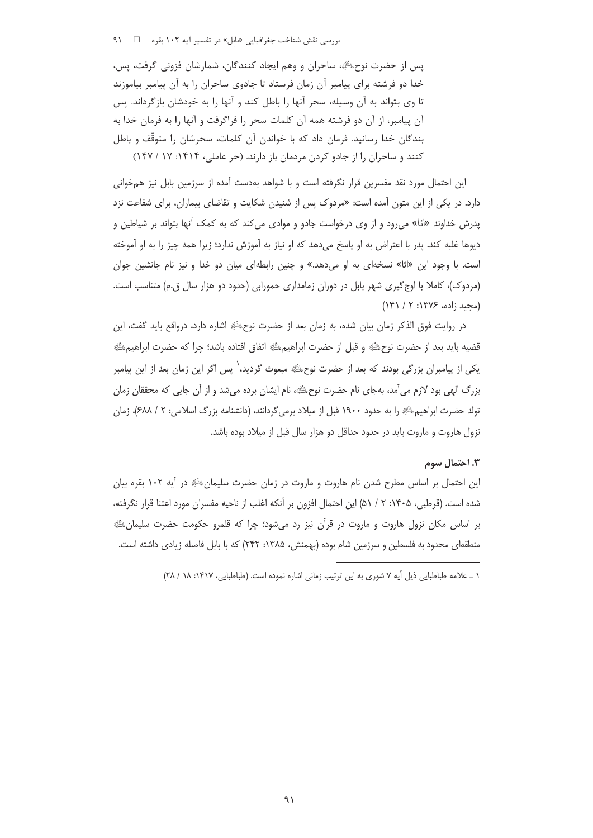بررسی نقش شناخت جغرافیایی «بابل» در تفسیر آیه ۱۰۲ بقره د □ 1.1

يس از حضرت نوحﷺ، ساحران و وهم ايجاد كنندگان، شمارشان فزوني گرفت، پس، خدا دو فرشته برای پیامبر آن زمان فرستاد تا جادوی ساحران را به آن پیامبر بیاموزند تا وي بتواند به آن وسيله، سحر آنها را باطل كند و آنها را به خودشان بازگرداند. پس آن پیامبر، از آن دو فرشته همه آن کلمات سحر را فراگرفت و آنها را به فرمان خدا به بندگان خدا رسانید. فرمان داد که با خواندن آن کلمات، سحرشان را متوقّف و باطل كنند و ساحران را از جادو كردن مردمان باز دارند. (حر عاملي، ۱۴۱۴: ۱۷ / ۱۴۷)

این احتمال مورد نقد مفسرین قرار نگرفته است و با شواهد بهدست آمده از سرزمین بابل نیز همخوانی دارد. در یکی از این متون آمده است: «مردوک پس از شنیدن شکایت و تقاضای بیماران، برای شفاعت نزد پدرش خداوند «ائا» می رود و از وی درخواست جادو و موادی می کند که به کمک آنها بتواند بر شیاطین و ديوها غلبه كند. پدر با اعتراض به او پاسخ مي دهد كه او نياز به آموزش ندارد؛ زيرا همه چيز را به او آموخته است. با وجود این «ائا» نسخهای به او میدهد.» و چنین رابطهای میان دو خدا و نیز نام جانشین جوان (مردوک)، کاملا با اوج گیری شهر بابل در دوران زمامداری حمورابی (حدود دو هزار سال ق.م) متناسب است. (مجيد زاده، ۱۳۷۶: ۲ / ۱۴۱)

در روايت فوق الذكر زمان بيان شده، به زمان بعد از حضرت نوحﷺ اشاره دارد، درواقع بايد گفت، اين قضيه بايد بعد از حضرت نوحﷺ و قبل از حضرت ابراهيم ﷺ اتفاق افتاده باشد؛ چرا كه حضرت ابراهيم ﷺ یکی از پیامبران بزرگی بودند که بعد از حضرت نوحﷺ مبعوث گردید، ٰ پس اگر این زمان بعد از این پیامبر بزرگ الهی بود لازم میآمد، بهجای نام حضرت نوحﷺ، نام ایشان برده میشد و از آن جایی که محققان زمان تولد حضرت ابراهيم الله وا به حدود ١٩٠٠ قبل از ميلاد برمي گردانند، (دانشنامه بزرگ اسلامي: ٢ / ۶۸۸)، زمان نزول هاروت و ماروت باید در حدود حداقل دو هزار سال قبل از میلاد بوده باشد.

#### ۳. احتمال سوم

این احتمال بر اساس مطرح شدن نام هاروت و ماروت در زمان حضرت سلیمان ﷺ در اًیه ۱۰۲ بقره بیان شده است. (قرطبی، ۱۴۰۵: ۲ / ۵۱) این احتمال افزون بر آنکه اغلب از ناحیه مفسران مورد اعتنا قرار نگرفته، بر اساس مکان نزول هاروت و ماروت در قرآن نیز رد میشود؛ چرا که قلمرو حکومت حضرت سلیمانﷺ منطقهای محدود به فلسطین و سرزمین شام بوده (بهمنش، ۱۳۸۵: ۲۴۲) که با بابل فاصله زیادی داشته است.

١ \_ علامه طباطبايي ذيل آيه ٧ شوري به اين ترتيب زماني اشاره نموده است. (طباطبايي، ١٤١٧: ١٨ / ٢٨)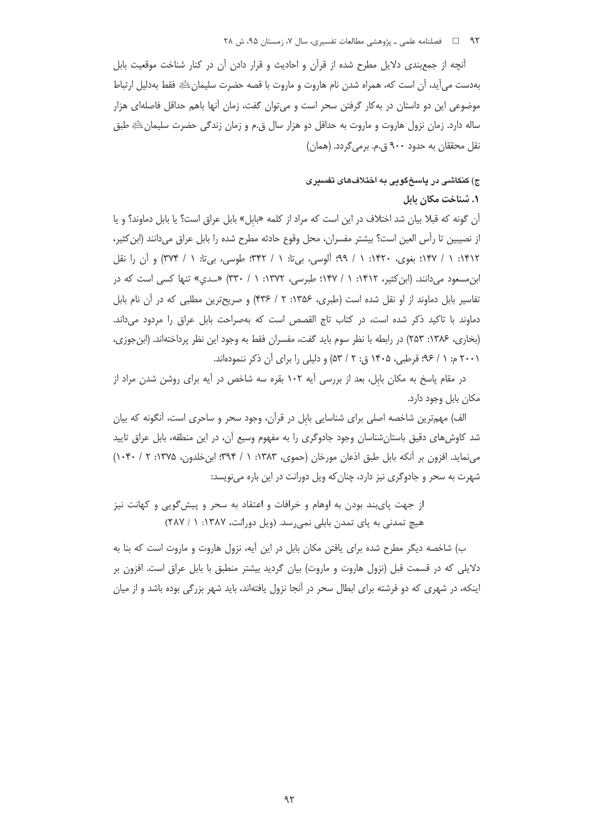آنچه از جمع بندی دلایل مطرح شده از قرآن و احادیث و قرار دادن آن در کنار شناخت موقعیت بابل بهدست می]ید، آن است که، همراه شدن نام هاروت و ماروت با قصه حضرت سلیمان ﷺ فقط بهدلیل ارتباط موضوعی این دو داستان در به کار گرفتن سحر است و می توان گفت، زمان آنها باهم حداقل فاصلهای هزار ساله دارد. زمان نزول هاروت و ماروت به حداقل دو هزار سال ق.م و زمان زندگی حضرت سلیمان ﷺ طبق نقل محققان به حدود ۹۰۰ ق.م. برمي گردد. (همان)

# ج) کنکاشی در پاسخگویی به اختلافهای تفسیری

# ۱. شناخت مکان بابل

آن گونه که قبلا بیان شد اختلاف در این است که مراد از کلمه «بابل» بابل عراق است؟ یا بابل دماوند؟ و یا از نصيبين تا رأس العين است؟ بيشتر مفسران، محل وقوع حادثه مطرح شده را بابل عراق مىدانند (ابن كثير، ۱۴۱۲: ۱ / ۱۴۷؛ بغوی، ۱۴۲۰: ۱ / ۹۹؛ آلوسی، بیiتا: ۱ / ۳۴۲؛ طوسی، بیiتا: ۱ / ۳۷۴) و آن را نقل ابن مسعود می دانند. (ابن کثیر، ۱۴۱۲: ۱ / ۱۴۷؛ طبرسی، ۱۳۷۲: ۱ / ۳۳۰) «سدی» تنها کسی است که در تفاسیر بابل دماوند از او نقل شده است (طبری، ۱۳۵۶: ۲ / ۴۳۶) و صریحترین مطلبی که در آن نام بابل دماوند با تاکید ذکر شده است، در کتاب تاج القصص است که بهصراحت بابل عراق را مردود میداند. (بخاری، ۱۳۸۶: ۲۵۳) در رابطه با نظر سوم باید گفت، مفسران فقط به وجود این نظر پرداختهاند. (ابنجوزی، ۲۰۰۱ م: ۱ / ۹۶؛ قرطبی، ۱۴۰۵ ق: ۲ / ۵۳) و دلیلی را برای آن ذکر ننمودهاند.

در مقام پاسخ به مکان بابل، بعد از بررسی آیه ۱۰۲ بقره سه شاخص در آیه برای روشن شدن مراد از مکان بابل وجود دارد.

الف) مهم ترین شاخصه اصلی برای شناسایی بابل در قرآن، وجود سحر و ساحری است، آنگونه که بیان شد کاوشهای دقیق باستانِشناسان وجود جادوگری را به مفهوم وسیع اّن، در این منطقه، بابل عراق تایید می نماید. افزون بر آنکه بابل طبق اذعان مورخان (حموی، ۱۳۸۳: ۱ / ۳۹۴: این خلدون، ۱۳۷۵: ۲ / ۱۰۴۰) شهرت به سحر و جادوگری نیز دارد، چنان که ویل دورانت در این باره مینویسد:

از جهت پایبند بودن به اوهام و خرافات و اعتقاد به سحر و پیش گویی و کهانت نیز هیچ تمدنی به پای تمدن بابلی نمی رسد. (ویل دورانت، ۱۳۸۷: ۱ / ۲۸۷)

ب) شاخصه دیگر مطرح شده برای یافتن مکان بابل در این آیه، نزول هاروت و ماروت است که بنا به دلایلی که در قسمت قبل (نزول هاروت و ماروت) بیان گردید بیشتر منطبق با بابل عراق است. افزون بر اینکه، در شهری که دو فرشته برای ابطال سحر در آنجا نزول یافتهاند، باید شهر بزرگی بوده باشد و از میان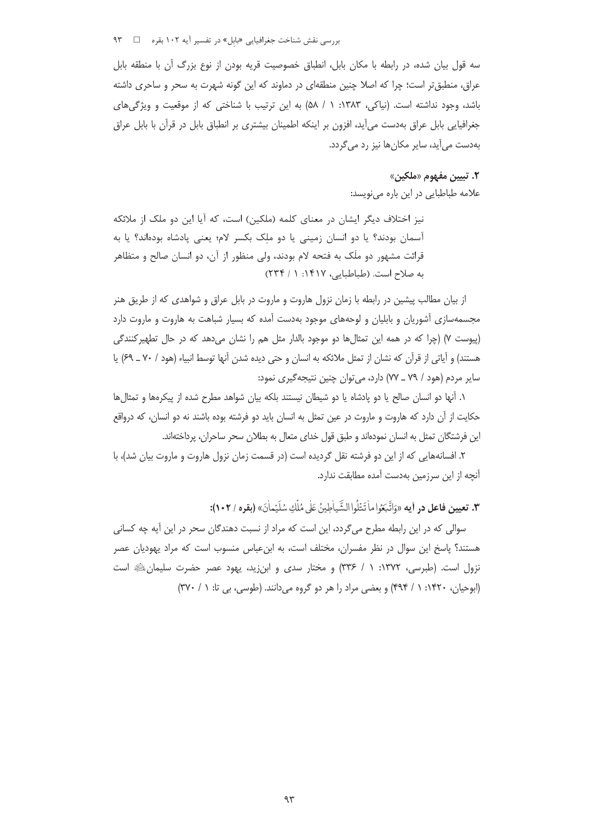بررسی نقش شناخت جغرافیایی «بابل» در تفسیر آیه ۱۰۲ بقره د □ 1 ۳

سه قول بیان شده، در رابطه با مکان بابل، انطباق خصوصیت قریه بودن از نوع بزرگ آن با منطقه بابل عراق، منطبق تر است؛ چرا که اصلا چنین منطقهای در دماوند که این گونه شهرت به سحر و ساحری داشته باشد، وجود نداشته است. (نیاکی، ۱۳۸۳: ۱ / ۵۸) به این ترتیب با شناختی که از موقعیت و ویژگیهای جغرافیایی بابل عراق بهدست می آید، افزون بر اینکه اطمینان بیشتری بر انطباق بابل در قرآن با بابل عراق بهدست می آید، سایر مکانها نیز رد می گردد.

# ٢. تبيين مفهوم «ملكين» علامه طباطبایی در این باره مینویسد:

نیز اختلاف دیگر ایشان در معنای کلمه (ملکین) است، که آیا این دو ملک از ملائکه آسمان بودند؟ یا دو انسان زمینی یا دو ملک بکسر لام؛ یعنی پادشاه بودهاند؟ یا به قرائت مشهور دو ملَک به فتحه لام بودند، ولی منظور از آن، دو انسان صالح و متظاهر به صلاح است. (طباطبایی، ۱۴۱۷: ۱ / ۲۳۴)

از بیان مطالب پیشین در رابطه با زمان نزول هاروت و ماروت در بابل عراق و شواهدی که از طریق هنر مجسمهسازی أشوریان و بابلیان و لوحههای موجود بهدست أمده که بسیار شباهت به هاروت و ماروت دارد (پیوست ۷) (چرا که در همه این تمثالها دو موجود بالدار مثل هم را نشان میدهد که در حال تطهیرکنندگی هستند) و آیاتی از قرآن که نشان از تمثل ملائکه به انسان و حتی دیده شدن آنها توسط انبیاء (هود / ۷۰ ـ ۶۹) یا سایر مردم (هود / ۷۹ ــ ۷۷) دارد، می توان چنین نتیجه گیری نمود:

١. آنها دو انسان صالح يا دو پادشاه يا دو شيطان نيستند بلكه بيان شواهد مطرح شده از پيكرهها و تمثالها حکایت از آن دارد که هاروت و ماروت در عین تمثل به انسان باید دو فرشته بوده باشند نه دو انسان، که درواقع این فرشتگان تمثل به انسان نمودهاند و طبق قول خدای متعال به بطلان سحر ساحران، پرداختهاند.

۲. افسانههایی که از این دو فرشته نقل گردیده است (در قسمت زمان نزول هاروت و ماروت بیان شد)، با آنچه از این سرزمین بهدست آمده مطابقت ندارد.

**٣. تعبين فاعل د, أبه** «وَاتَّبِعُواماْ تَتْلُواالشَّياطِينُ عَلَى مُلْكِ سُلَيْعانَ» (**بقره / ١٠٢):** 

سوالی که در این رابطه مطرح می گردد، این است که مراد از نسبت دهندگان سحر در این آیه چه کسانی هستند؟ پاسخ این سوال در نظر مفسران، مختلف است، به ابنءباس منسوب است که مراد یهودیان عصر نزول است. (طبرسی، ۱۳۷۲: ۱ / ۳۳۶) و مختار سدی و ابنِزید، یهود عصر حضرت سلیمان اللهِ است (ابوحیان، ۱۴۲۰: ۱ / ۴۹۴) و بعضی مراد را هر دو گروه می دانند. (طوسی، بی تا: ۱ / ۳۷۰)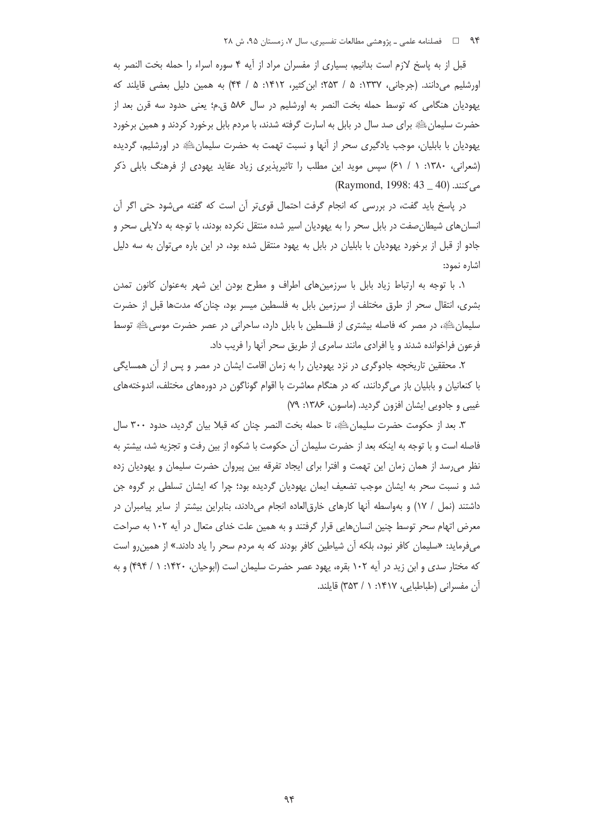۹۴ هسلنامه علمی ـ پژوهشی مطالعات تفسیری، سال ۷، زمستان ۹۵، ش ۲۸

قبل از به پاسخ لازم است بدانیم، بسیاری از مفسران مراد از آیه ۴ سوره اسراء را حمله بخت النصر به اورشليم مي دانند. (جرجاني، ١٣٣٧: ۵ / ٢۵٣؛ ابن كثير، ١۴١٢: ۵ / ۴۴) به همين دليل بعضي قايلند كه يهوديان هنگامي كه توسط حمله بخت النصر به اورشليم در سال ۵۸۶ ق.م؛ يعني حدود سه قرن بعد از حضرت سلیمانﷺ برای صد سال در بابل به اسارت گرفته شدند، با مردم بابل برخورد کردند و همین برخورد يهوديان با بابليان، موجب يادگيري سحر از أنها و نسبت تهمت به حضرت سليمان ﷺ در اورشليم، گرديده (شعرانی، ۱۳۸۰: ۱ / ۶۱) سپس موید این مطلب را تاثیرپذیری زیاد عقاید یهودی از فرهنگ بابلی ذکر می کنند. (Raymond, 1998: 43 \_ 40)

در پاسخ باید گفت، در بررسی که انجام گرفت احتمال قویتر آن است که گفته میشود حتی اگر آن انسانهای شیطان صفت در بابل سحر را به یهودیان اسیر شده منتقل نکرده بودند، با توجه به دلایلی سحر و جادو از قبل از برخورد یهودیان با بابلیان در بابل به یهود منتقل شده بود، در این باره میتوان به سه دلیل اشاره نمود:

۱. با توجه به ارتباط زیاد بابل با سرزمینهای اطراف و مطرح بودن این شهر بهعنوان کانون تمدن بشری، انتقال سحر از طرق مختلف از سرزمین بابل به فلسطین میسر بود، چنان که مدتها قبل از حضرت سلیمان ﷺ، در مصر که فاصله بیشتری از فلسطین با بابل دارد، ساحرانی در عصر حضرت موسی ﷺ توسط فرعون فراخوانده شدند و یا افرادی مانند سامری از طریق سحر آنها را فریب داد.

۲. محققین تاریخچه جادوگری در نزد یهودیان را به زمان اقامت ایشان در مصر و پس از آن همسایگی با کنعانیان و بابلیان باز می گردانند، که در هنگام معاشرت با اقوام گوناگون در دورههای مختلف، اندوختههای غیبی و جادویی ایشان افزون گردید. (ماسون، ۱۳۸۶: ۷۹)

٣. بعد از حکومت حضرت سلیمانﷺ، تا حمله بخت النصر چنان که قبلا بیان گردید، حدود ٣٠٠ سال فاصله است و با توجه به اینکه بعد از حضرت سلیمان آن حکومت با شکوه از بین رفت و تجزیه شد، بیشتر به نظر می رسد از همان زمان این تهمت و افترا برای ایجاد تفرقه بین پیروان حضرت سلیمان و یهودیان زده شد و نسبت سحر به ایشان موجب تضعیف ایمان یهودیان گردیده بود؛ چرا که ایشان تسلطی بر گروه جن داشتند (نمل / ١٧) و بەواسطە آنها کارهای خارق|لعاده انجام می۱دادند، بنابراین بیشتر از سایر پیامبران در معرض اتهام سحر توسط چنین انسانهایی قرار گرفتند و به همین علت خدای متعال در آیه ۱۰۲ به صراحت می فرماید: «سلیمان کافر نبود، بلکه آن شیاطین کافر بودند که به مردم سحر را یاد دادند.» از همین رو است که مختار سدی و ابن زید در آیه ۱۰۲ بقره، یهود عصر حضرت سلیمان است (ابوحیان، ۱۴۲۰: ۱ / ۴۹۴) و به آن مفسراني (طباطبايي، ۱۴۱۷: ۱ / ۳۵۳) قايلند.

 $98$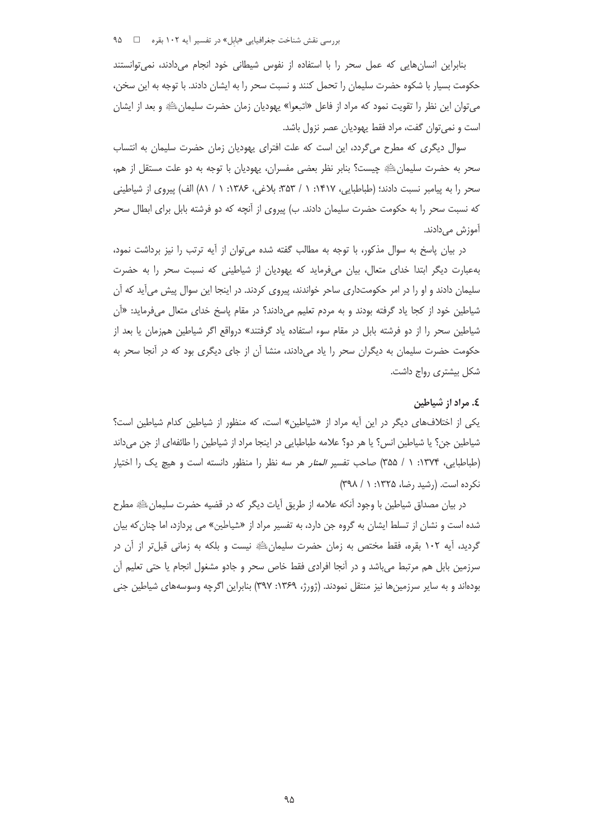بررسی نقش شناخت جغرافیایی «بابِل» در تفسیر آیه ۱۰۲ بقره ⊥ ۹۵

بنابراین انسانهایی که عمل سحر را با استفاده از نفوس شیطانی خود انجام میدادند، نمیتوانستند حکومت بسیار با شکوه حضرت سلیمان را تحمل کنند و نسبت سحر را به ایشان دادند. با توجه به این سخن، می توان این نظر را تقویت نمود که مراد از فاعل «اتبعوا» یهودیان زمان حضرت سلیمان ﷺ و بعد از ایشان است و نمیتوان گفت، مراد فقط یهودیان عصر نزول باشد.

سوال دیگری که مطرح میگردد، این است که علت افترای یهودیان زمان حضرت سلیمان به انتساب سحر به حضرت سليمان ﷺ چيست؟ بنابر نظر بعضي مفسران، يهوديان با توجه به دو علت مستقل از هم، سحر را به پیامبر نسبت دادند؛ (طباطبایی، ۱۴۱۷: ۱ / ۳۵۳: بلاغی، ۱۳۸۶: ۱ / ۸۱) الف) پیروی از شیاطینی ì í j که نسبت سحر را به حکومت حضرت سلیمان دادند. ب) پیروی از آنچه که دو فرشته بابل برای ابطال سحر <sup>أم</sup>وزش مىدادند.

در بیان پاسخ به سوال مذکور، با توجه به مطالب گفته شده میتوان از اًیه ترتب را نیز برداشت نمود، به عبارت دیگر ابتدا خدای متعال، بیان میفرماید که یهودیان از شیاطینی که نسبت سحر را به حضرت سلیمان دادند و او را در امر حکومتداری ساحر خواندند، پیروی کردند. در اینجا این سوال پیش می آید که آن شیاطین خود از کجا یاد گرفته بودند و به مردم تعلیم میدادند؟ در مقام پاسخ خدای متعال میفرماید: «اَن ì شیاطین سحر را از دو فرشته بابل در مقام سوء استفاده یاد گرفتند» درواقع اگر شیاطین همزمان یا بعد از حکومت حضرت سلیمان به دیگران سحر را یاد میدادند، منشا آن از جای دیگری بود که در آنجا سحر به شكل بيشترى رواج داشت.

# **2.** مراد از شیاطین

بکی از اختلافهای دیگر در این أیه مراد از «شیاطین» است، که منظور از شیاطین کدام شیاطین است؟ شیاطین جن؟ یا شیاطین انس؟ یا هر دو؟ علامه طباطبایی در اینجا مراد از شیاطین را طائفهای از جن میداند (طباطبایی، ۱۳۷۴: ۱ / ۳۵۵) صاحب تفسیر *المنار* هر سه نظر را منظور دانسته است و هیچ یک را اختیار  $\ddot{\phantom{a}}$ نکرده است. (رشید رضا، ۱۳۲۵: ۱ / ۳۹۸) j

در بیان مصداق شیاطین با وجود آنکه علامه از طریق آیات دیگر که در قضیه حضرت سلیمان ﷺ مطرح شده است و نشان از تسلط ایشان به گروه جن دارد، به تفسیر مراد از «شیاطین» می پردازد، اما چنان *ک*ه بیان گردید، آیه ۱۰۲ بقره، فقط مختص به زمان حضرت سلیمانﷺ نیست و بلکه به زمانی قبلتر از آن در سرزمین بابل هم مرتبط میباشد و در آنجا افرادی فقط خاص سحر و جادو مشغول انجام یا حتی تعلیم آن بودهاند و به سایر سرزمینها نیز منتقل نمودند. (ژورژ، ۱۳۶۹: ۳۹۷) بنابراین اگرچه وسوسههای شیاطین جنی i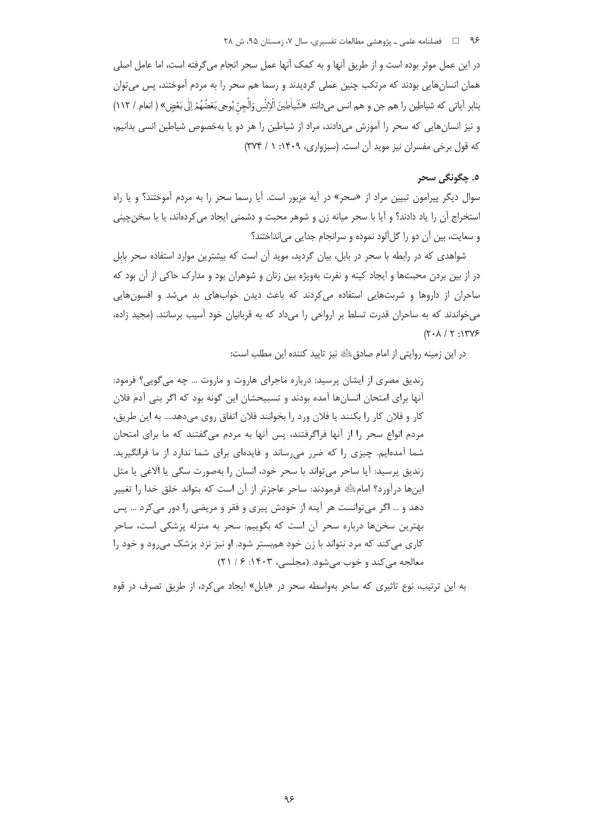در این عمل موثر بوده است و از طریق آنها و به کمک آنها عمل سحر انجام می گرفته است، اما عامل اصلی همان انسانهایی بودند که مرتکب چنین عملی گردیدند و رسما هم سحر را به مردم آموختند، پس می توان بنابر آياتي كه شياطين را هم جن و هم انس مي<انند «شَياٰطِينَ الْإِنْسِ وَالْجِنّ يُوجِي بَعْضُهُمْ إِلٰى بَعْضٍ» ( انعام / ١١٢) و نیز انسان هایی که سحر را آموزش می دادند، مراد از شیاطین را هر دو یا بهخصوص شیاطین انسی بدانیم، که قول برخی مفسران نیز موید آن است. (سبزواری، ۱۴۰۹: ۱ / ۳۷۴)

# ٥. چگونگي سحر

سوال دیگر پیرامون تبیین مراد از «سحر» در آیه مزبور است. آیا رسما سحر را به مردم آموختند؟ و یا راه استخراج آن را ياد دادند؟ و آيا با سحر ميانه زن و شوهر محبت و دشمني ايجاد مي كردهاند، يا با سخن چيني و سعايت، بين أن دو را گل آلود نموده و سرانجام جدايي مي انداختند؟

شواهدی که در رابطه با سحر در بابل، بیان گردید، موید آن است که بیشترین موارد استفاده سحر بابل در از بین بردن محبتها و ایجاد کینه و نفرت بهویژه بین زنان و شوهران بود و مدارک حاکی از آن بود که ساحران از داروها و شربتهایی استفاده می کردند که باعث دیدن خوابهای بد میشد و افسونهایی می خواندند که به ساحران قدرت تسلط بر ارواحی را می داد که به قربانیان خود آسیب برسانند. (مجید زاده،  $(Y - \lambda / Y : YYY)$ 

در این زمینه روایتی از امام صادق ﷺ نیز تایید کننده این مطلب است:

زندیق مصری از ایشان پرسید: درباره ماجرای هاروت و ماروت … چه میگویی؟ فرمود: آنها برای امتحان انسانها آمده بودند و تسبیحشان این گونه بود که اگر بنی آدم فلان كار و فلان كار را بكنند يا فلان ورد را بخوانند فلان اتفاق روى مىدهد.... به اين طريق، مردم انواع سحر را از آنها فراگرفتند، پس آنها به مردم می گفتند که ما برای امتحان شما آمدهایم. چیزی را که ضرر می رساند و فایدهای برای شما ندارد از ما فرانگیرید. زنديق پرسيد: آيا ساحر مي تواند با سحر خود، انسان ,ا بهصورت سگي يا الاغي يا مثل اینها درآورد؟ امامﷺ فرمودند: ساحر عاجزتر از آن است که بتواند خلق خدا را تغییر دهد و … اگر میتوانست هر آینه از خودش پیری و فقر و مریضی را دور می کرد … پس بهترین سخنها درباره سحر آن است که بگوییم: سحر به منزله پزشکی است، ساحر کاری می کند که مرد نتواند با زن خود هم بستر شود. او نیز نزد پزشک می رود و خود را معالجه مي كند و خوب مي شود. (مجلسي، ١۴٠٣: ٢١/ ٢١)

به این ترتیب، نوع تاثیری که ساحر بهواسطه سحر در «بابل» ایجاد می کرد، از طریق تصرف در قوه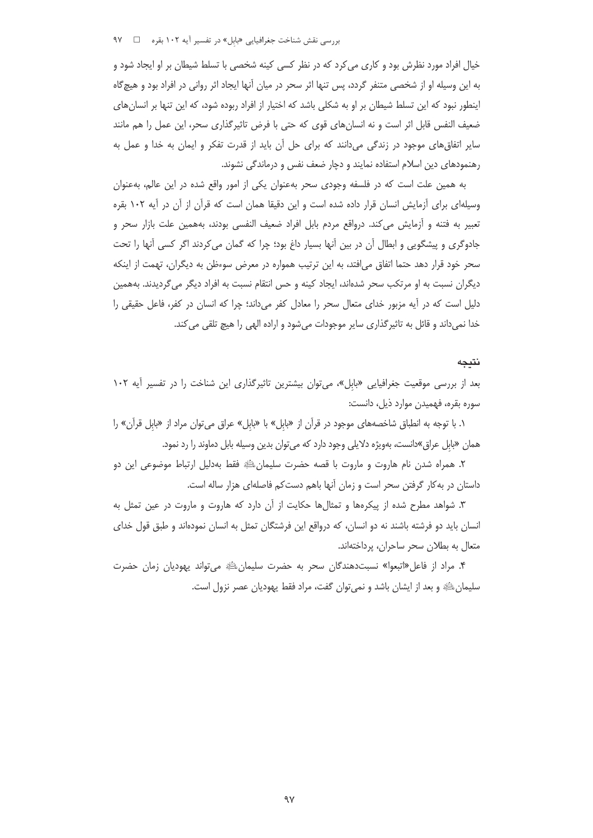خیال افراد مورد نظرش بود و کاری می کرد که در نظر کسی کینه شخصی با تسلط شیطان بر او ایجاد شود و به این وسیله او از شخصی متنفر گردد، پس تنها اثر سحر در میان آنها ایجاد اثر روانی در افراد بود و هیچگاه اینطور نبود که این تسلط شیطان بر او به شکلی باشد که اختیار از افراد ربوده شود، که این تنها بر انسان های ضعیف النفس قابل اثر است و نه انسانهای قوی که حتی با فرض تاثیرگذاری سحر، این عمل را هم مانند سایر اتفاق های موجود در زندگی می دانند که برای حل آن باید از قدرت تفکر و ایمان به خدا و عمل به رهنمودهای دین اسلام استفاده نمایند و دچار ضعف نفس و درماندگی نشوند.

به همین علت است که در فلسفه وجودی سحر بهعنوان یکی از امور واقع شده در این عالم، بهعنوان وسیلهای برای آزمایش انسان قرار داده شده است و این دقیقا همان است که قرآن از آن در آیه ۱۰۲ بقره تعبير به فتنه و آزمايش مي كند. درواقع مردم بابل افراد ضعيف النفسي بودند، بههمين علت بازار سحر و جادوگری و پیشگویی و ابطال آن در بین آنها بسیار داغ بود؛ چرا که گمان می کردند اگر کسی آنها را تحت سحر خود قرار دهد حتما اتفاق می|فتد، به این ترتیب همواره در معرض سوءظن به دیگران، تهمت از اینکه دیگران نسبت به او مرتکب سحر شدهاند، ایجاد کینه و حس انتقام نسبت به افراد دیگر میگردیدند. بههمین دلیل است که در آیه مزبور خدای متعال سحر را معادل کفر میداند؛ چرا که انسان در کفر، فاعل حقیقی را خدا نمیداند و قائل به تاثیرگذاری سایر موجودات میشود و اراده الهی را هیچ تلقی می کند.

#### نتيجه

بعد از بررسی موقعیت جغرافیایی «بابل»، میتوان بیشترین تاثیرگذاری این شناخت را در تفسیر آیه ١٠٢ سوره بقره، فهمیدن موارد ذیل، دانست:

۰. با توجه به انطباق شاخصههای موجود در قرآن از «بابل» با «بابل» عراق می توان مراد از «بابل قرآن» را همان «بابل عراق»دانست، بهویژه دلایلی وجود دارد که میتوان بدین وسیله بابل دماوند را رد نمود.

٢. همراه شدن نام هاروت و ماروت با قصه حضرت سليمانﷺ فقط بهدليل ارتباط موضوعي اين دو داستان در به کار گرفتن سحر است و زمان آنها باهم دست کم فاصلهای هزار ساله است.

۳. شواهد مطرح شده از پیکرهها و تمثالها حکایت از آن دارد که هاروت و ماروت در عین تمثل به انسان باید دو فرشته باشند نه دو انسان، که درواقع این فرشتگان تمثل به انسان نمودهاند و طبق قول خدای متعال به بطلان سحر ساحران، پرداختهاند.

۴. مراد از فاعل«اتبعوا» نسبتدهندگان سحر به حضرت سلیمانﷺ می¤واند یهودیان زمان حضرت سليمان ﷺ و بعد از ايشان باشد و نمي توان گفت، مراد فقط يهوديان عصر نزول است.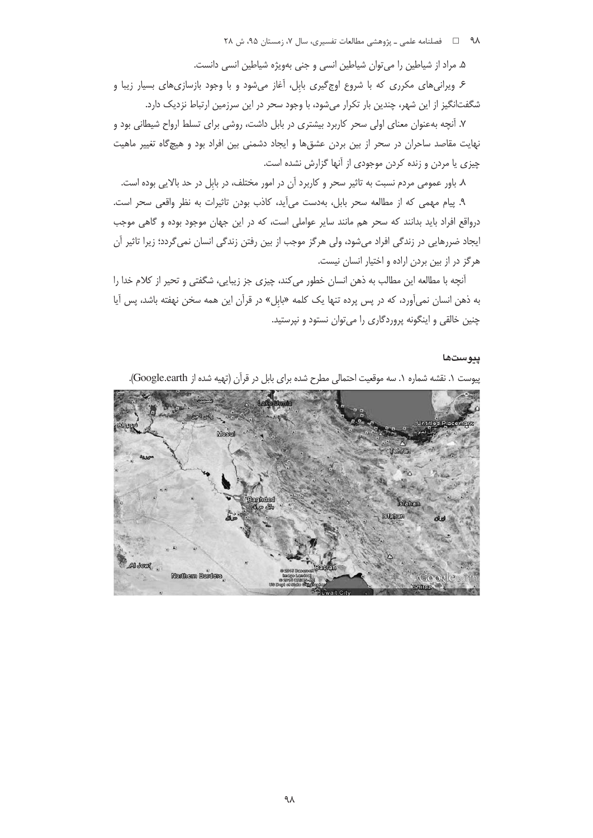# ۹۸ = □ فصلنامه علمی ـ یژوهشی مطالعات تفسیری، سال ۷، زمستان ۹۵، ش ۲۸

۵. مراد از شیاطین را می توان شیاطین انسی و جنی بهویژه شیاطین انسی دانست.

۶ ویرانی های مکرری که با شروع اوج گیری بابل، آغاز می شود و با وجود بازسازی های بسیار زیبا و شگفتانگیز از این شهر، چندین بار تکرار می شود، با وجود سحر در این سرزمین ارتباط نزدیک دارد.

۷. آنچه به عنوان معنای اولی سحر کاربرد بیشتری در بابل داشت، روشی برای تسلط ارواح شیطانی بود و نهایت مقاصد ساحران در سحر از بین بردن عشقها و ایجاد دشمنی بین افراد بود و هیچگاه تغییر ماهیت چیزی یا مردن و زنده کردن موجودی از آنها گزارش نشده است.

٨. باور عمومي مردم نسبت به تاثير سحر و كاربرد آن در امور مختلف، در بابل در حد بالايي بوده است.

۹. پیام مهمی که از مطالعه سحر بابل، بهدست می آید، کاذب بودن تاثیرات به نظر واقعی سحر است. درواقع افراد باید بدانند که سحر هم مانند سایر عواملی است، که در این جهان موجود بوده و گاهی موجب ایجاد ضررهایی در زندگی افراد میشود، ولی هرگز موجب از بین رفتن زندگی انسان نمیگردد؛ زیرا تاثیر آن هرگز در از بین بردن اراده و اختیار انسان نیست.

آنچه با مطالعه این مطالب به ذهن انسان خطور می کند، چیزی جز زیبایی، شگفتی و تحیر از کلام خدا را به ذهن انسان نمی آورد، که در پس پرده تنها یک کلمه «بابل» در قرآن این همه سخن نهفته باشد، پس آیا چنین خالقی و اینگونه پروردگاری را میتوان نستود و نپرستید.

# ييوستها

یپوست ۱. نقشه شماره ۱. سه موقعیت احتمالی مطرح شده برای بابل در قرآن (تهیه شده از Google.earth).

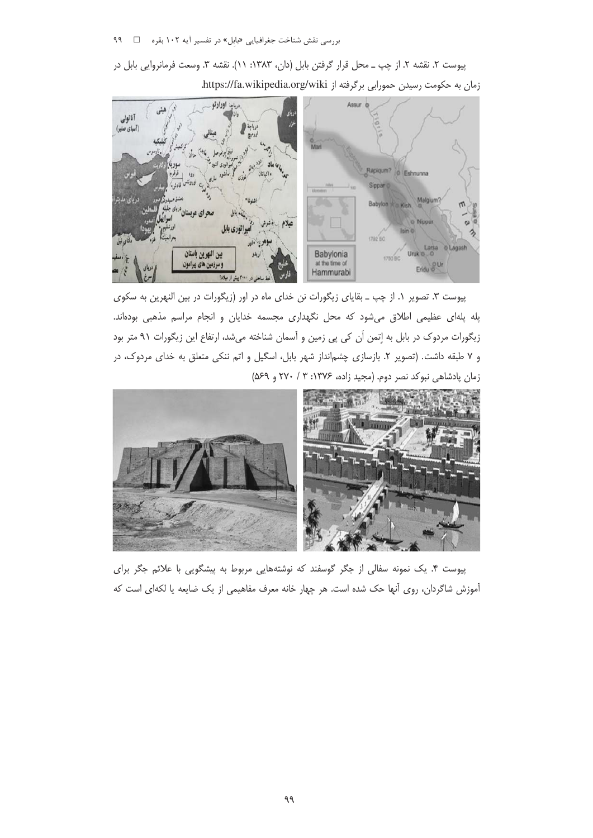پیوست ۲. نقشه ۲. از چپ ــ محل قرار گرفتن بابل (دان، ۱۳۸۳: ۱۱). نقشه ۳. وسعت فرمانروایی بابل در زمان به حکومت رسیدن حمورابی برگرفته از https://fa.wikipedia.org/wiki.



پیوست ٣. تصویر ١. از چپ ـ بقایای زیگورات نن خدای ماه در اور (زیگورات در بین النهرین به سکوی پله پلهای عظیمی اطلاق میشود که محل نگهداری مجسمه خدایان و انجام مراسم مذهبی بودهاند. زیگورات مردوک در بابل به اِتمن اَن کی پی زمین و آسمان شناخته می شد، ارتفاع این زیگورات ۹۱ متر بود و ۷ طبقه داشت. (تصویر ۲. بازسازی چشمانداز شهر بابل، اسگیل و اتم ننکی متعلق به خدای مردوک، در زمان پادشاهی نبوکد نصر دوم. (مجید زاده، ۱۳۷۶: ۳ / ۲۷۰ و ۵۶۹)



پیوست ۴. یک نمونه سفالی از جگر گوسفند که نوشتههایی مربوط به پیشگویی با علائم جگر برای آموزش شاگردان، روی آنها حک شده است. هر چهار خانه معرف مفاهیمی از یک ضایعه یا لکهای است که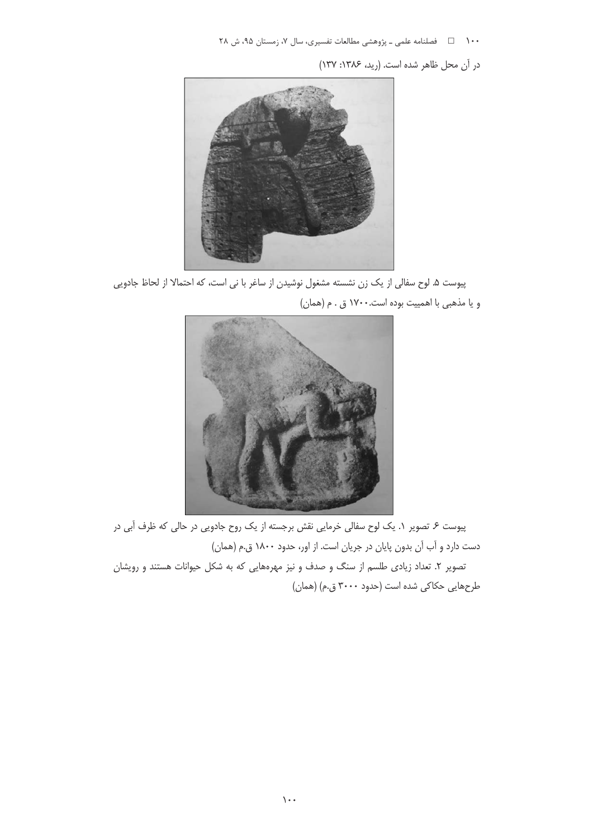۱۰۰ هـ المصلنامه علمی ـ پژوهشی مطالعات تفسیری، سال ۷، زمستان ۹۵، ش ۲۸

در آن محل ظاهر شده است. (رید، ۱۳۸۶: ۱۳۷)



پیوست ۵. لوح سفالی از یک زن نشسته مشغول نوشیدن از ساغر با نی است، که احتمالا از لحاظ جادویی و يا مذهبي با اهمييت بوده است.١٧٠٠ ق . م (همان)



پیوست ۶ تصویر ۱. یک لوح سفالی خرمایی نقش برجسته از یک روح جادویی در حالی که ظرف آبی در دست دارد و آب آن بدون پایان در جریان است. از اور، حدود ۱۸۰۰ ق.م (همان)

تصویر ۲. تعداد زیادی طلسم از سنگ و صدف و نیز مهرههایی که به شکل حیوانات هستند و رویشان طرحهایی حکاکی شده است (حدود ۳۰۰۰ ق.م) (همان)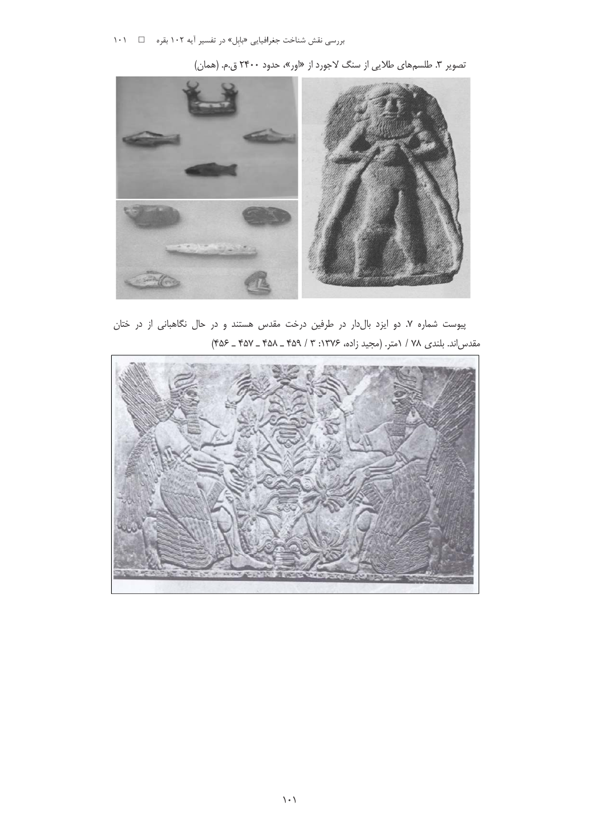

تصویر ۳. طلسمهای طلایی از سنگ لاجورد از «اور»، حدود ۲۴۰۰ ق.م. (همان)

پیوست شماره ۷. دو ایزد بال دار در طرفین درخت مقدس هستند و در حال نگاهبانی از در ختان مقدس اند. بلندی ٧٨ / ١متر. (مجيد زاده، ١٣٧۶: ٣ / ٤٥٩ ـ ٤٥٨ ـ ٤٥٧ ـ ٣٥٤)

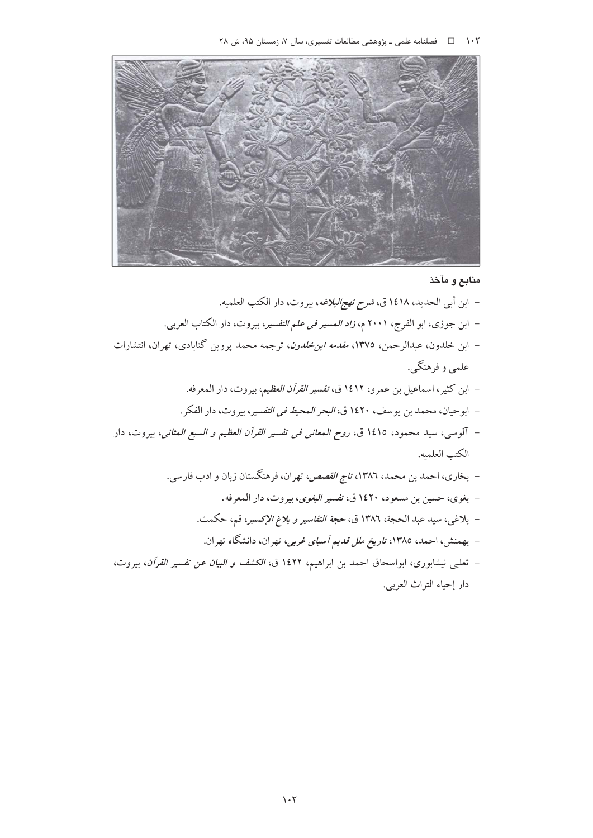۱۰۲ = فصلنامه علمی ـ پژوهشی مطالعات تفسیری، سال ۷، زمستان ۹۵، ش ۲۸



# منابع و مآخذ

- ابن أبي الحديد، ١٤١٨ ق، *شرح نهج البلاغه*، بيروت، دار الكتب العلميه. – ابن جوزي، ابو الفرج، ٢٠٠١ م، ز*اد المسير في علم التفسير*، بيروت، دار الكتاب العربي. – ابن خلدون، عبدالرحمن، ١٣٧٥، *مقدمه ابن خلدون*، ترجمه محمد پروین گنابادی، تهران، انتشارات علمي و فرهنگي. – ابن كثير، اسماعيل بن عمرو، ١٤١٢ ق، *تفسير القرآن العظيم*، بيروت، دار المعرفه. – ابوحيان، محمد بن يوسف، ١٤٢٠ ق، *البحر المحيط في التفسير*، بيروت، دار الفكر. – آلوسی، سید محمود، ۱٤۱0 ق، *روح المعانی فی تفسیر القرآن العظیم و السبع المثانی*، بیروت، دار الكتب العلميه. – بخاري، احمد بن محمد، ١٣٨٦، ت*اج القصص*، تهران، فرهنگستان زبان و ادب فارسي. - بغوي، حسين بن مسعود، ١٤٢٠ ق، *تفسير البغوي*، بيروت، دار المعرفه. – بلاغي، سيد عبد الحجة، ١٣٨٦ ق، *حجة التفاسير و بلاغ الإكسير*، قم، حكمت. – بهمنش، احمد، ۱۳۸۵، *تاریخ ملل قدیم آسیای غربی*، تهران، دانشگاه تهران. – ثعلبي نيشابوري، ابواسحاق احمد بن ابراهيم، ١٤٢٢ ق، *الكشف و البيان عن تفسير القرآن*، بيروت،
	- دار إحياء التراث العربي.